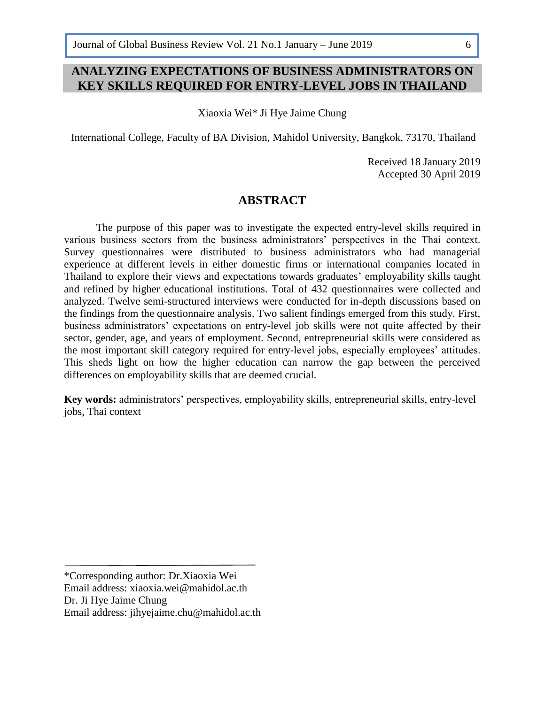6

# **ANALYZING EXPECTATIONS OF BUSINESS ADMINISTRATORS ON KEY SKILLS REQUIRED FOR ENTRY-LEVEL JOBS IN THAILAND**

Xiaoxia Wei\* Ji Hye Jaime Chung

International College, Faculty of BA Division, Mahidol University, Bangkok, 73170, Thailand

Received 18 January 2019 Accepted 30 April 2019

### **ABSTRACT**

The purpose of this paper was to investigate the expected entry-level skills required in various business sectors from the business administrators' perspectives in the Thai context. Survey questionnaires were distributed to business administrators who had managerial experience at different levels in either domestic firms or international companies located in Thailand to explore their views and expectations towards graduates' employability skills taught and refined by higher educational institutions. Total of 432 questionnaires were collected and analyzed. Twelve semi-structured interviews were conducted for in-depth discussions based on the findings from the questionnaire analysis. Two salient findings emerged from this study. First, business administrators' expectations on entry-level job skills were not quite affected by their sector, gender, age, and years of employment. Second, entrepreneurial skills were considered as the most important skill category required for entry-level jobs, especially employees' attitudes. This sheds light on how the higher education can narrow the gap between the perceived differences on employability skills that are deemed crucial.

**Key words:** administrators' perspectives, employability skills, entrepreneurial skills, entry-level jobs, Thai context

\*Corresponding author: Dr.Xiaoxia Wei Email address: [xiaoxia.wei@mahidol.ac.th](mailto:xiaoxia.wei@mahidol.ac.th) Dr. Ji Hye Jaime Chung Email address: [jihyejaime.chu@mahidol.ac.th](mailto:jihyejaime.chu@mahidol.ac.th)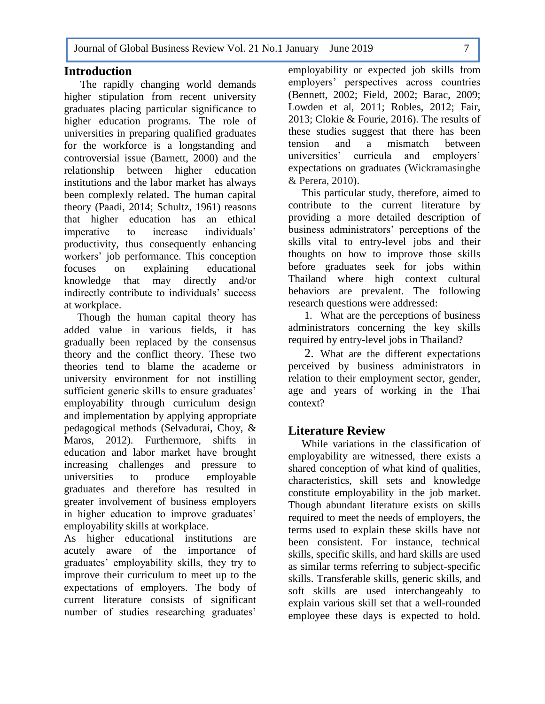#### **Introduction**  6

 The rapidly changing world demands higher stipulation from recent university graduates placing particular significance to higher education programs. The role of universities in preparing qualified graduates for the workforce is a longstanding and controversial issue (Barnett, 2000) and the relationship between higher education institutions and the labor market has always been complexly related. The human capital theory (Paadi, 2014; Schultz, 1961) reasons that higher education has an ethical imperative to increase individuals' productivity, thus consequently enhancing workers' job performance. This conception focuses on explaining educational knowledge that may directly and/or indirectly contribute to individuals' success at workplace.

 Though the human capital theory has added value in various fields, it has gradually been replaced by the consensus theory and the conflict theory. These two theories tend to blame the academe or university environment for not instilling sufficient generic skills to ensure graduates' employability through curriculum design and implementation by applying appropriate pedagogical methods (Selvadurai, Choy, & Maros, 2012). Furthermore, shifts in education and labor market have brought increasing challenges and pressure to universities to produce employable graduates and therefore has resulted in greater involvement of business employers in higher education to improve graduates' employability skills at workplace.

As higher educational institutions are acutely aware of the importance of graduates' employability skills, they try to improve their curriculum to meet up to the expectations of employers. The body of current literature consists of significant number of studies researching graduates'

employability or expected job skills from employers' perspectives across countries (Bennett, 2002; Field, 2002; Barac, 2009; Lowden et al, 2011; Robles, 2012; Fair, 2013; Clokie & Fourie, 2016). The results of these studies suggest that there has been tension and a mismatch between universities' curricula and employers' expectations on graduates (Wickramasinghe & Perera, 2010).

 This particular study, therefore, aimed to contribute to the current literature by providing a more detailed description of business administrators' perceptions of the skills vital to entry-level jobs and their thoughts on how to improve those skills before graduates seek for jobs within Thailand where high context cultural behaviors are prevalent. The following research questions were addressed:

1. What are the perceptions of business administrators concerning the key skills required by entry-level jobs in Thailand?

2. What are the different expectations perceived by business administrators in relation to their employment sector, gender, age and years of working in the Thai context?

# **Literature Review**

 While variations in the classification of employability are witnessed, there exists a shared conception of what kind of qualities, characteristics, skill sets and knowledge constitute employability in the job market. Though abundant literature exists on skills required to meet the needs of employers, the terms used to explain these skills have not been consistent. For instance, technical skills, specific skills, and hard skills are used as similar terms referring to subject-specific skills. Transferable skills, generic skills, and soft skills are used interchangeably to explain various skill set that a well-rounded employee these days is expected to hold.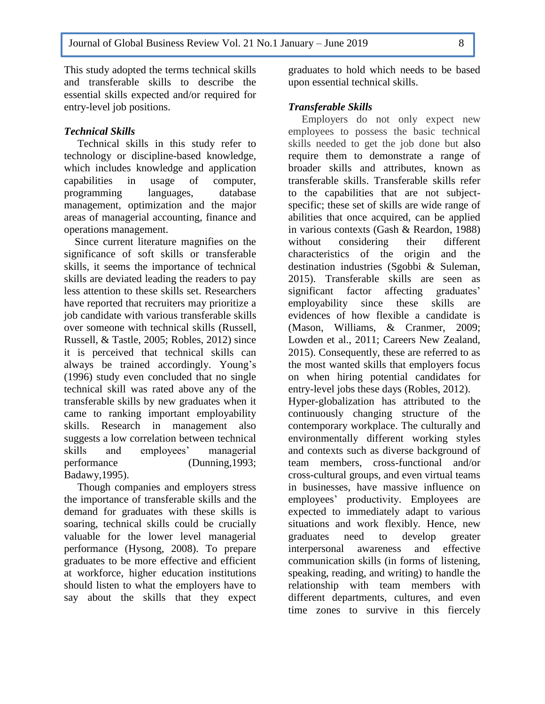This study adopted the terms technical skills and transferable skills to describe the essential skills expected and/or required for entry-level job positions.

### *Technical Skills*

6

 Technical skills in this study refer to technology or discipline-based knowledge, which includes knowledge and application capabilities in usage of computer, programming languages, database management, optimization and the major areas of managerial accounting, finance and operations management.

 Since current literature magnifies on the significance of soft skills or transferable skills, it seems the importance of technical skills are deviated leading the readers to pay less attention to these skills set. Researchers have reported that recruiters may prioritize a job candidate with various transferable skills over someone with technical skills (Russell, Russell, & Tastle, 2005; Robles, 2012) since it is perceived that technical skills can always be trained accordingly. Young's (1996) study even concluded that no single technical skill was rated above any of the transferable skills by new graduates when it came to ranking important employability skills. Research in management also suggests a low correlation between technical skills and employees' managerial performance (Dunning,1993; Badawy,1995).

 Though companies and employers stress the importance of transferable skills and the demand for graduates with these skills is soaring, technical skills could be crucially valuable for the lower level managerial performance (Hysong, 2008). To prepare graduates to be more effective and efficient at workforce, higher education institutions should listen to what the employers have to say about the skills that they expect

graduates to hold which needs to be based upon essential technical skills.

## *Transferable Skills*

 Employers do not only expect new employees to possess the basic technical skills needed to get the job done but also require them to demonstrate a range of broader skills and attributes, known as transferable skills. Transferable skills refer to the capabilities that are not subjectspecific; these set of skills are wide range of abilities that once acquired, can be applied in various contexts (Gash & Reardon, 1988) without considering their different characteristics of the origin and the destination industries (Sgobbi & Suleman, 2015). Transferable skills are seen as significant factor affecting graduates' employability since these skills are evidences of how flexible a candidate is (Mason, Williams, & Cranmer, 2009; Lowden et al., 2011; Careers New Zealand, 2015). Consequently, these are referred to as the most wanted skills that employers focus on when hiring potential candidates for entry-level jobs these days (Robles, 2012). Hyper-globalization has attributed to the continuously changing structure of the contemporary workplace. The culturally and environmentally different working styles and contexts such as diverse background of team members, cross-functional and/or cross-cultural groups, and even virtual teams in businesses, have massive influence on employees' productivity. Employees are expected to immediately adapt to various situations and work flexibly. Hence, new graduates need to develop greater interpersonal awareness and effective communication skills (in forms of listening, speaking, reading, and writing) to handle the relationship with team members with different departments, cultures, and even time zones to survive in this fiercely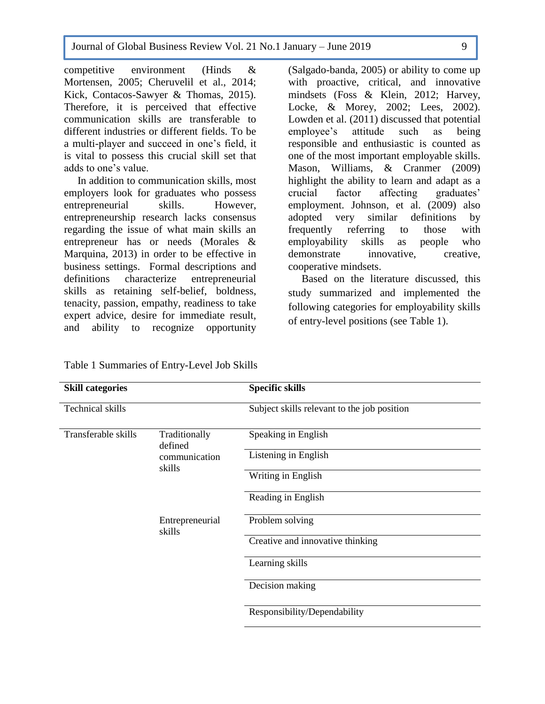Journal of Global Business Review Vol. 21 No.1 January – June 2019 9

competitive environment (Hinds & Mortensen, 2005; Cheruvelil et al., 2014; Kick, Contacos-Sawyer & Thomas, 2015). Therefore, it is perceived that effective communication skills are transferable to different industries or different fields. To be a multi-player and succeed in one's field, it is vital to possess this crucial skill set that adds to one's value. 6

 In addition to communication skills, most employers look for graduates who possess entrepreneurial skills. However, entrepreneurship research lacks consensus regarding the issue of what main skills an entrepreneur has or needs (Morales & Marquina, 2013) in order to be effective in business settings. Formal descriptions and definitions characterize entrepreneurial skills as retaining self-belief, boldness, tenacity, passion, empathy, readiness to take expert advice, desire for immediate result, and ability to recognize opportunity

(Salgado-banda, 2005) or ability to come up with proactive, critical, and innovative mindsets (Foss & Klein, 2012; Harvey, Locke, & Morey, 2002; Lees, 2002). Lowden et al. (2011) discussed that potential employee's attitude such as being responsible and enthusiastic is counted as one of the most important employable skills. Mason, Williams, & Cranmer (2009) highlight the ability to learn and adapt as a crucial factor affecting graduates' employment. Johnson, et al. (2009) also adopted very similar definitions by frequently referring to those with employability skills as people who demonstrate innovative, creative, cooperative mindsets.

 Based on the literature discussed, this study summarized and implemented the following categories for employability skills of entry-level positions (see Table 1).

| <b>Skill categories</b> |                           | <b>Specific skills</b>                      |
|-------------------------|---------------------------|---------------------------------------------|
| <b>Technical skills</b> |                           | Subject skills relevant to the job position |
| Transferable skills     | Traditionally<br>defined  | Speaking in English                         |
|                         | communication<br>skills   | Listening in English                        |
|                         |                           | Writing in English                          |
|                         |                           | Reading in English                          |
|                         | Entrepreneurial<br>skills | Problem solving                             |
|                         |                           | Creative and innovative thinking            |
|                         |                           | Learning skills                             |
|                         |                           | Decision making                             |
|                         |                           | Responsibility/Dependability                |

Table 1 Summaries of Entry-Level Job Skills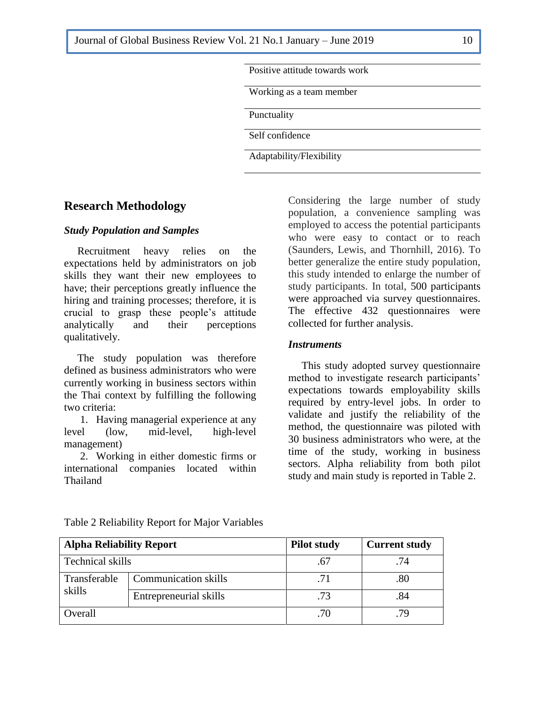| Positive attitude towards work |  |
|--------------------------------|--|
| Working as a team member       |  |
| Punctuality                    |  |
| Self confidence                |  |

### **Research Methodology**

6

### *Study Population and Samples*

 Recruitment heavy relies on the expectations held by administrators on job skills they want their new employees to have; their perceptions greatly influence the hiring and training processes; therefore, it is crucial to grasp these people's attitude analytically and their perceptions qualitatively.

 The study population was therefore defined as business administrators who were currently working in business sectors within the Thai context by fulfilling the following two criteria:

1. Having managerial experience at any level (low, mid-level, high-level management)

2. Working in either domestic firms or international companies located within Thailand

Considering the large number of study population, a convenience sampling was employed to access the potential participants who were easy to contact or to reach (Saunders, Lewis, and Thornhill, 2016). To better generalize the entire study population, this study intended to enlarge the number of study participants. In total, 500 participants were approached via survey questionnaires. The effective 432 questionnaires were collected for further analysis.

#### *Instruments*

 This study adopted survey questionnaire method to investigate research participants' expectations towards employability skills required by entry-level jobs. In order to validate and justify the reliability of the method, the questionnaire was piloted with 30 business administrators who were, at the time of the study, working in business sectors. Alpha reliability from both pilot study and main study is reported in Table 2.

| <b>Alpha Reliability Report</b> |                             | <b>Pilot study</b> | <b>Current study</b> |
|---------------------------------|-----------------------------|--------------------|----------------------|
| Technical skills                |                             |                    | .74                  |
| Transferable                    | <b>Communication skills</b> | .71                | .80                  |
| skills                          | Entrepreneurial skills      | .73                | .84                  |
| Overall                         |                             | .70                | 79                   |

Table 2 Reliability Report for Major Variables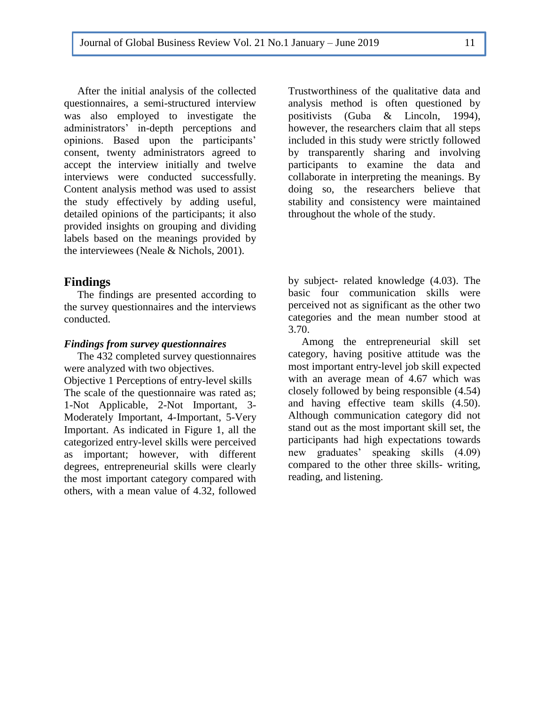After the initial analysis of the collected questionnaires, a semi-structured interview was also employed to investigate the administrators' in-depth perceptions and opinions. Based upon the participants' consent, twenty administrators agreed to accept the interview initially and twelve interviews were conducted successfully. Content analysis method was used to assist the study effectively by adding useful, detailed opinions of the participants; it also provided insights on grouping and dividing labels based on the meanings provided by the interviewees (Neale & Nichols, 2001).

### **Findings**

6

 The findings are presented according to the survey questionnaires and the interviews conducted.

### *Findings from survey questionnaires*

 The 432 completed survey questionnaires were analyzed with two objectives.

Objective 1 Perceptions of entry-level skills The scale of the questionnaire was rated as; 1-Not Applicable, 2-Not Important, 3- Moderately Important, 4-Important, 5-Very Important. As indicated in Figure 1, all the categorized entry-level skills were perceived as important; however, with different degrees, entrepreneurial skills were clearly the most important category compared with others, with a mean value of 4.32, followed

Trustworthiness of the qualitative data and analysis method is often questioned by positivists (Guba & Lincoln, 1994), however, the researchers claim that all steps included in this study were strictly followed by transparently sharing and involving participants to examine the data and collaborate in interpreting the meanings. By doing so, the researchers believe that stability and consistency were maintained throughout the whole of the study.

by subject- related knowledge (4.03). The basic four communication skills were perceived not as significant as the other two categories and the mean number stood at 3.70.

 Among the entrepreneurial skill set category, having positive attitude was the most important entry-level job skill expected with an average mean of 4.67 which was closely followed by being responsible (4.54) and having effective team skills (4.50). Although communication category did not stand out as the most important skill set, the participants had high expectations towards new graduates' speaking skills (4.09) compared to the other three skills- writing, reading, and listening.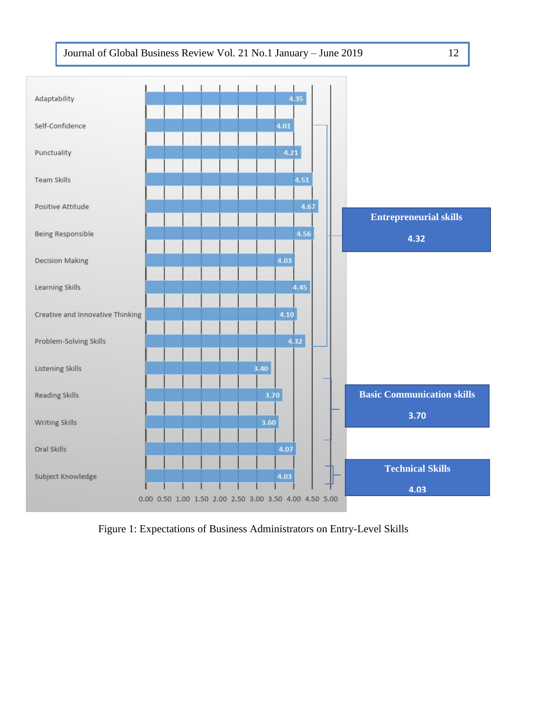

Figure 1: Expectations of Business Administrators on Entry-Level Skills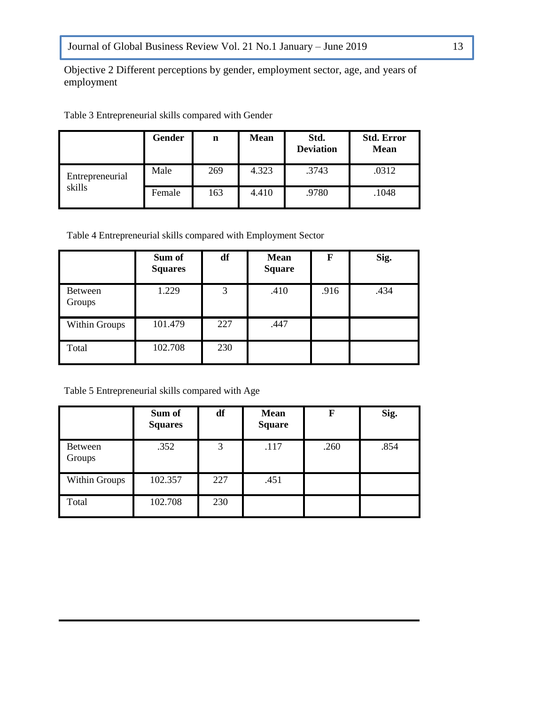Objective 2 Different perceptions by gender, employment sector, age, and years of employment 6

|                 | Gender | n   | <b>Mean</b> | Std.<br><b>Deviation</b> | <b>Std. Error</b><br><b>Mean</b> |
|-----------------|--------|-----|-------------|--------------------------|----------------------------------|
| Entrepreneurial | Male   | 269 | 4.323       | .3743                    | .0312                            |
| skills          | Female | 163 | 4.410       | .9780                    | .1048                            |

Table 3 Entrepreneurial skills compared with Gender

Table 4 Entrepreneurial skills compared with Employment Sector

|                      | Sum of<br><b>Squares</b> | df  | <b>Mean</b><br><b>Square</b> | F    | Sig. |
|----------------------|--------------------------|-----|------------------------------|------|------|
| Between<br>Groups    | 1.229                    | 3   | .410                         | .916 | .434 |
| <b>Within Groups</b> | 101.479                  | 227 | .447                         |      |      |
| Total                | 102.708                  | 230 |                              |      |      |

Table 5 Entrepreneurial skills compared with Age

|                   | Sum of<br><b>Squares</b> | df  | <b>Mean</b><br><b>Square</b> | F    | Sig. |
|-------------------|--------------------------|-----|------------------------------|------|------|
| Between<br>Groups | .352                     | 3   | .117                         | .260 | .854 |
| Within Groups     | 102.357                  | 227 | .451                         |      |      |
| Total             | 102.708                  | 230 |                              |      |      |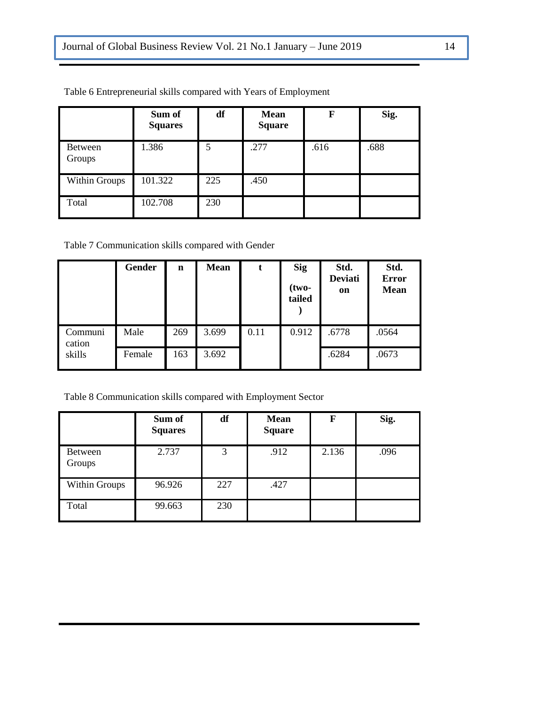|                          | Sum of<br><b>Squares</b> | df  | <b>Mean</b><br><b>Square</b> | F    | Sig. |
|--------------------------|--------------------------|-----|------------------------------|------|------|
| <b>Between</b><br>Groups | 1.386                    | 5   | .277                         | .616 | .688 |
| Within Groups            | 101.322                  | 225 | .450                         |      |      |
| Total                    | 102.708                  | 230 |                              |      |      |

Table 6 Entrepreneurial skills compared with Years of Employment

6

Table 7 Communication skills compared with Gender

|                   | <b>Gender</b> | $\mathbf n$ | <b>Mean</b> | t    | <b>Sig</b><br>$(two-$<br>tailed | Std.<br><b>Deviati</b><br>on | Std.<br><b>Error</b><br><b>Mean</b> |
|-------------------|---------------|-------------|-------------|------|---------------------------------|------------------------------|-------------------------------------|
| Communi<br>cation | Male          | 269         | 3.699       | 0.11 | 0.912                           | .6778                        | .0564                               |
| skills            | Female        | 163         | 3.692       |      |                                 | .6284                        | .0673                               |

Table 8 Communication skills compared with Employment Sector

|                   | Sum of<br><b>Squares</b> | df  | <b>Mean</b><br><b>Square</b> | F     | Sig. |
|-------------------|--------------------------|-----|------------------------------|-------|------|
| Between<br>Groups | 2.737                    | 3   | .912                         | 2.136 | .096 |
| Within Groups     | 96.926                   | 227 | .427                         |       |      |
| Total             | 99.663                   | 230 |                              |       |      |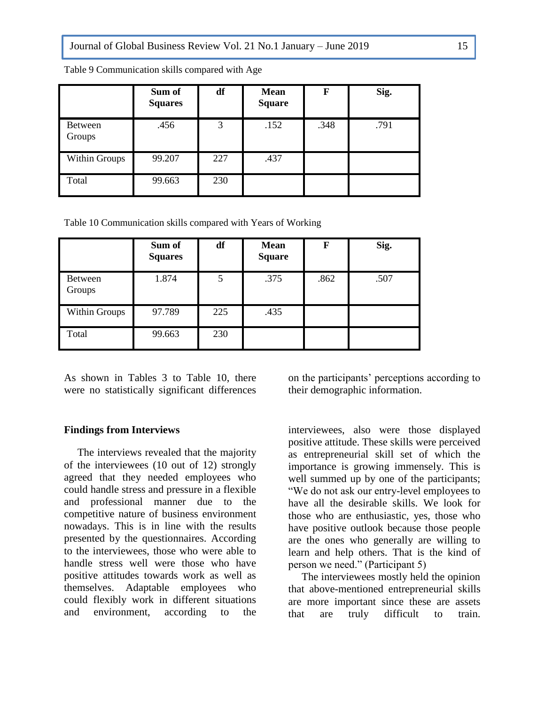|                      | Sum of<br><b>Squares</b> | df  | <b>Mean</b><br><b>Square</b> | F    | Sig. |
|----------------------|--------------------------|-----|------------------------------|------|------|
| Between<br>Groups    | .456                     | 3   | .152                         | .348 | .791 |
| <b>Within Groups</b> | 99.207                   | 227 | .437                         |      |      |
| Total                | 99.663                   | 230 |                              |      |      |

Table 9 Communication skills compared with Age 6

Table 10 Communication skills compared with Years of Working

|                   | Sum of<br><b>Squares</b> | df  | <b>Mean</b><br><b>Square</b> | F    | Sig. |
|-------------------|--------------------------|-----|------------------------------|------|------|
| Between<br>Groups | 1.874                    | 5   | .375                         | .862 | .507 |
| Within Groups     | 97.789                   | 225 | .435                         |      |      |
| Total             | 99.663                   | 230 |                              |      |      |

As shown in Tables 3 to Table 10, there were no statistically significant differences

#### **Findings from Interviews**

 The interviews revealed that the majority of the interviewees (10 out of 12) strongly agreed that they needed employees who could handle stress and pressure in a flexible and professional manner due to the competitive nature of business environment nowadays. This is in line with the results presented by the questionnaires. According to the interviewees, those who were able to handle stress well were those who have positive attitudes towards work as well as themselves. Adaptable employees who could flexibly work in different situations and environment, according to the

on the participants' perceptions according to their demographic information.

interviewees, also were those displayed positive attitude. These skills were perceived as entrepreneurial skill set of which the importance is growing immensely. This is well summed up by one of the participants; "We do not ask our entry-level employees to have all the desirable skills. We look for those who are enthusiastic, yes, those who have positive outlook because those people are the ones who generally are willing to learn and help others. That is the kind of person we need." (Participant 5)

 The interviewees mostly held the opinion that above-mentioned entrepreneurial skills are more important since these are assets that are truly difficult to train.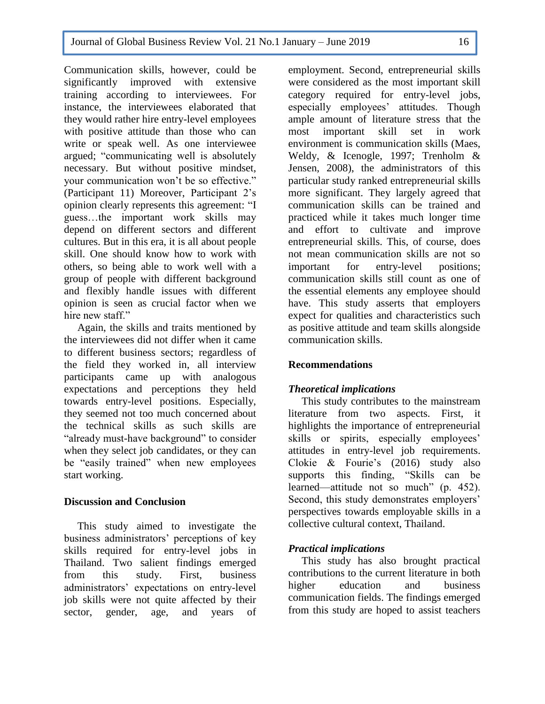Communication skills, however, could be significantly improved with extensive training according to interviewees. For instance, the interviewees elaborated that they would rather hire entry-level employees with positive attitude than those who can write or speak well. As one interviewee argued; "communicating well is absolutely necessary. But without positive mindset, your communication won't be so effective." (Participant 11) Moreover, Participant 2's opinion clearly represents this agreement: "I guess…the important work skills may depend on different sectors and different cultures. But in this era, it is all about people skill. One should know how to work with others, so being able to work well with a group of people with different background and flexibly handle issues with different opinion is seen as crucial factor when we hire new staff."

6

 Again, the skills and traits mentioned by the interviewees did not differ when it came to different business sectors; regardless of the field they worked in, all interview participants came up with analogous expectations and perceptions they held towards entry-level positions. Especially, they seemed not too much concerned about the technical skills as such skills are "already must-have background" to consider when they select job candidates, or they can be "easily trained" when new employees start working.

### **Discussion and Conclusion**

 This study aimed to investigate the business administrators' perceptions of key skills required for entry-level jobs in Thailand. Two salient findings emerged from this study. First, business administrators' expectations on entry-level job skills were not quite affected by their sector, gender, age, and years of

employment. Second, entrepreneurial skills were considered as the most important skill category required for entry-level jobs, especially employees' attitudes. Though ample amount of literature stress that the most important skill set in work environment is communication skills (Maes, Weldy, & Icenogle, 1997; Trenholm & Jensen, 2008), the administrators of this particular study ranked entrepreneurial skills more significant. They largely agreed that communication skills can be trained and practiced while it takes much longer time and effort to cultivate and improve entrepreneurial skills. This, of course, does not mean communication skills are not so important for entry-level positions; communication skills still count as one of the essential elements any employee should have. This study asserts that employers expect for qualities and characteristics such as positive attitude and team skills alongside communication skills.

### **Recommendations**

### *Theoretical implications*

 This study contributes to the mainstream literature from two aspects. First, it highlights the importance of entrepreneurial skills or spirits, especially employees' attitudes in entry-level job requirements. Clokie & Fourie's (2016) study also supports this finding, "Skills can be learned—attitude not so much" (p. 452). Second, this study demonstrates employers' perspectives towards employable skills in a collective cultural context, Thailand.

## *Practical implications*

 This study has also brought practical contributions to the current literature in both higher education and business communication fields. The findings emerged from this study are hoped to assist teachers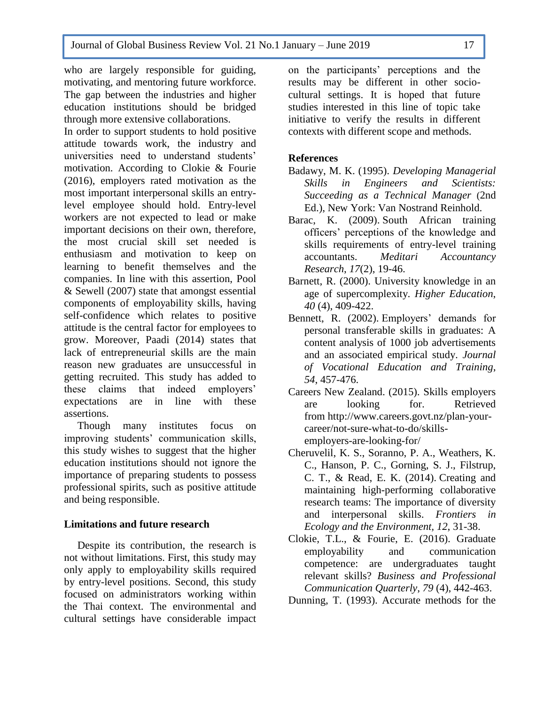who are largely responsible for guiding, motivating, and mentoring future workforce. The gap between the industries and higher education institutions should be bridged through more extensive collaborations. 6

In order to support students to hold positive attitude towards work, the industry and universities need to understand students' motivation. According to Clokie & Fourie (2016), employers rated motivation as the most important interpersonal skills an entrylevel employee should hold. Entry-level workers are not expected to lead or make important decisions on their own, therefore, the most crucial skill set needed is enthusiasm and motivation to keep on learning to benefit themselves and the companies. In line with this assertion, Pool & Sewell (2007) state that amongst essential components of employability skills, having self-confidence which relates to positive attitude is the central factor for employees to grow. Moreover, Paadi (2014) states that lack of entrepreneurial skills are the main reason new graduates are unsuccessful in getting recruited. This study has added to these claims that indeed employers' expectations are in line with these assertions.

 Though many institutes focus on improving students' communication skills, this study wishes to suggest that the higher education institutions should not ignore the importance of preparing students to possess professional spirits, such as positive attitude and being responsible.

### **Limitations and future research**

 Despite its contribution, the research is not without limitations. First, this study may only apply to employability skills required by entry-level positions. Second, this study focused on administrators working within the Thai context. The environmental and cultural settings have considerable impact

on the participants' perceptions and the results may be different in other sociocultural settings. It is hoped that future studies interested in this line of topic take initiative to verify the results in different contexts with different scope and methods.

## **References**

- Badawy, M. K. (1995). *Developing Managerial Skills in Engineers and Scientists: Succeeding as a Technical Manager* (2nd Ed.), New York: Van Nostrand Reinhold.
- Barac, K. (2009). South African training officers' perceptions of the knowledge and skills requirements of entry-level training accountants. *Meditari Accountancy Research*, *17*(2), 19-46.
- Barnett, R. (2000). University knowledge in an age of supercomplexity. *Higher Education*, *40* (4), 409-422.
- Bennett, R. (2002). Employers' demands for personal transferable skills in graduates: A content analysis of 1000 job advertisements and an associated empirical study. *Journal of Vocational Education and Training*, *54*, 457-476.
- Careers New Zealand. (2015). Skills employers are looking for. Retrieved from [http://www.careers.govt.nz/plan-your](http://www.careers.govt.nz/plan-your-career/not-sure-what-to-do/skills-employers-are-looking-for/)[career/not-sure-what-to-do/skills](http://www.careers.govt.nz/plan-your-career/not-sure-what-to-do/skills-employers-are-looking-for/)[employers-are-looking-for/](http://www.careers.govt.nz/plan-your-career/not-sure-what-to-do/skills-employers-are-looking-for/)
- Cheruvelil, K. S., Soranno, P. A., Weathers, K. C., Hanson, P. C., Gorning, S. J., Filstrup, C. T., & Read, E. K. (2014). Creating and maintaining high-performing collaborative research teams: The importance of diversity and interpersonal skills. *Frontiers in Ecology and the Environment, 12*, 31-38.
- Clokie, T.L., & Fourie, E. (2016). Graduate employability and communication competence: are undergraduates taught relevant skills? *Business and Professional Communication Quarterly*, *79* (4), 442-463.
- Dunning, T. (1993). Accurate methods for the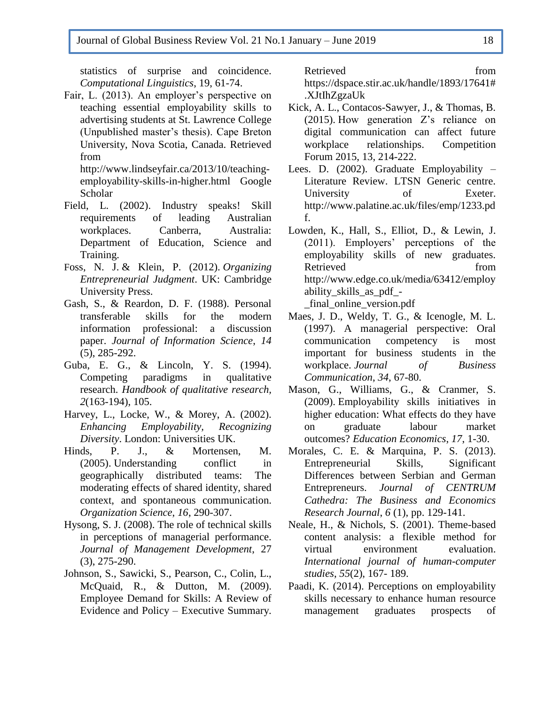statistics of surprise and coincidence. *Computational Linguistics*, 19, 61-74.

6

Fair, L. (2013). An employer's perspective on teaching essential employability skills to advertising students at St. Lawrence College (Unpublished master's thesis). Cape Breton University, Nova Scotia, Canada. Retrieved from

http://www.lindseyfair.ca/2013/10/teachingemployability-skills-in-higher.html Google Scholar

- Field, L. (2002). Industry speaks! Skill requirements of leading Australian workplaces. Canberra, Australia: Department of Education, Science and Training.
- Foss, N. J. & Klein, P. (2012). *[Organizing](https://econpapers.repec.org/bookchap/cupcbooks/9780521874427.htm)  [Entrepreneurial Judgment](https://econpapers.repec.org/bookchap/cupcbooks/9780521874427.htm)*. UK: Cambridge University Press.
- Gash, S., & Reardon, D. F. (1988). Personal transferable skills for the modern information professional: a discussion paper. *Journal of Information Science*, *14* (5), 285-292.
- Guba, E. G., & Lincoln, Y. S. (1994). Competing paradigms in qualitative research. *Handbook of qualitative research, 2*(163-194), 105.
- Harvey, L., Locke, W., & Morey, A. (2002). *Enhancing Employability, Recognizing Diversity*. London: Universities UK.
- Hinds, P. J., & Mortensen, M. (2005). Understanding conflict in geographically distributed teams: The moderating effects of shared identity, shared context, and spontaneous communication. *Organization Science*, *16*, 290-307.
- Hysong, S. J. (2008). The role of technical skills in perceptions of managerial performance. *Journal of Management Development*, 27 (3), 275-290.
- Johnson, S., Sawicki, S., Pearson, C., Colin, L., McQuaid, R., & Dutton, M. (2009). Employee Demand for Skills: A Review of Evidence and Policy – Executive Summary.

Retrieved from [https://dspace.stir.ac.uk/handle/1893/17641#](https://dspace.stir.ac.uk/handle/1893/17641#.XJtIhZgzaUk) [.XJtIhZgzaUk](https://dspace.stir.ac.uk/handle/1893/17641#.XJtIhZgzaUk)

- Kick, A. L., Contacos-Sawyer, J., & Thomas, B. (2015). How generation Z's reliance on digital communication can affect future workplace relationships. Competition Forum 2015, 13, 214-222.
- Lees. D. (2002). Graduate Employability Literature Review. LTSN Generic centre. University of Exeter. [http://www.palatine.ac.uk/files/emp/1233.pd](http://www.palatine.ac.uk/files/emp/1233.pdf) [f.](http://www.palatine.ac.uk/files/emp/1233.pdf)
- Lowden, K., Hall, S., Elliot, D., & Lewin, J. (2011). Employers' perceptions of the employability skills of new graduates. Retrieved from [http://www.edge.co.uk/media/63412/employ](http://www.edge.co.uk/media/63412/employability_skills_as_pdf_-_final_online_version.pdf) [ability\\_skills\\_as\\_pdf\\_-](http://www.edge.co.uk/media/63412/employability_skills_as_pdf_-_final_online_version.pdf)
	- [\\_final\\_online\\_version.pdf](http://www.edge.co.uk/media/63412/employability_skills_as_pdf_-_final_online_version.pdf)
- Maes, J. D., Weldy, T. G., & Icenogle, M. L. (1997). A managerial perspective: Oral communication competency is most important for business students in the workplace. *Journal of Business Communication*, *34*, 67-80.
- Mason, G., Williams, G., & Cranmer, S. (2009). Employability skills initiatives in higher education: What effects do they have on graduate labour market outcomes? *Education Economics*, *17*, 1-30.
- Morales, C. E. & Marquina, P. S. (2013). Entrepreneurial Skills, Significant Differences between Serbian and German Entrepreneurs. *Journal of CENTRUM Cathedra: The Business and Economics Research Journal*, *6* (1), pp. 129-141.
- Neale, H., & Nichols, S. (2001). Theme-based content analysis: a flexible method for virtual environment evaluation. *International journal of human-computer studies*, *55*(2), 167- 189.
- Paadi, K. (2014). Perceptions on employability skills necessary to enhance human resource management graduates prospects of